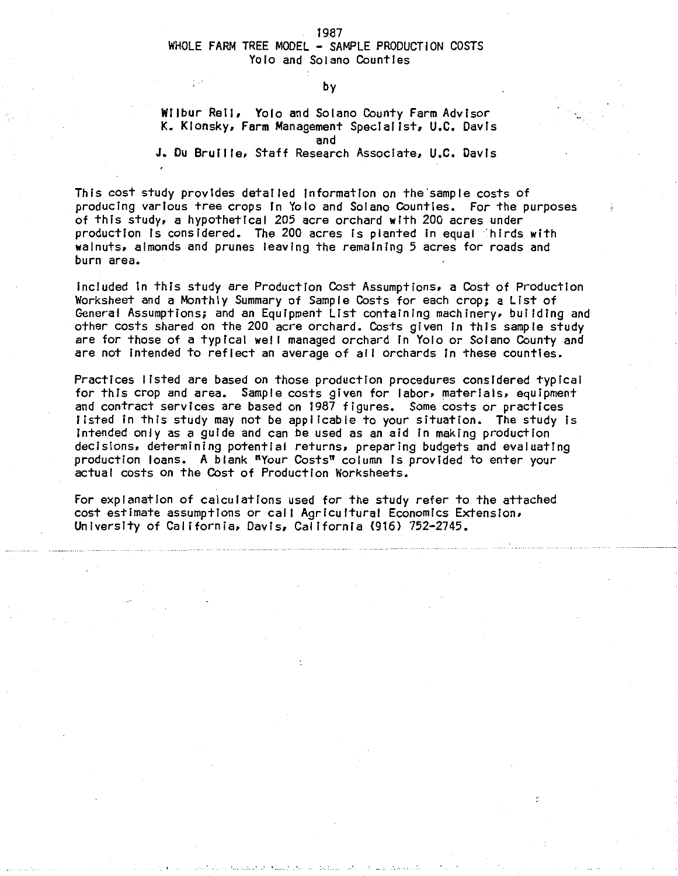#### 1987

# WHOLE FARM TREE MODEL - SAMPLE PRODUCTION COSTS Yolo and Solano Counties

#### by

#### Wiibur Rell, Yolo and Solano County Farm Advisor K. Klonsky, Farm Management Specfallst, U.C. Davis and

J. Du Brull le, Staff Research Associate, U.C. Davis

This cost study provides detailed Information on the'sample costs of producing various tree crops In Yolo and Solano Counties. For the purposes of this study, a hypothetfcal 205 acre orchard with 200 acres under production ls considered. The 200 acres Is planted in equal 'hlrds with walnuts, almonds and prunes leaving the remaining 5 acres for roads and burn area.

included In this study are Production Cost Assumptions, a Cost of Production Worksheet and a Monthly Summary of Sample Costs for each crop; a List of General Assumptions; and an Equipment List containing machinery, building and other costs shared on the 200 acre orchard. Costs given In this sample study are for those of a typical well managed orchard in Yolo or Solano County and are not intended to reflect an average of all orchards in these counties.

Practices listed are based on those production procedures considered typical for this crop and area. Sample costs given for labor, materials, equipment and contract services are based on 1987 figures. Some costs or practices listed in this study may not be applicable to your situation. The study is intended only as a guide and can be used as an aid In making production decisions. determining potential returns, preparing budgets and evaluating production loans. A blank "Your Costs" column ls provided to enter your actual costs on the Cost of Production Worksheets.

For explanation of calculations used for the study refer to the attached cost estimate assumptions or calf Agricultural Economics Extension, University of Calffornia, Davis, California (916) 752-2745.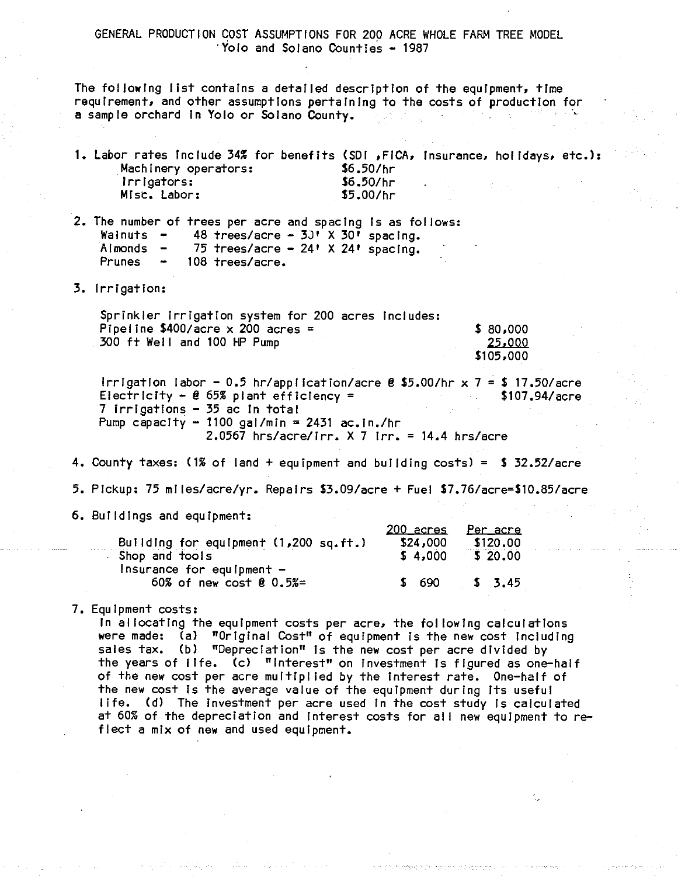# GENERAL PRODUCTION COST ASSUMPTIONS FOR 200 ACRE WHOLE FARM TREE MODEL ·Yolo and Solano Counties - 1987

The following list contains a detailed description of the equipment, time requirement, and other assumptions pertaining to the costs of production for a sample orchard in Yolo or Solano County.

- 1. Labor rates include 34% for benefits (SDI ,FICA, Insurance, holidays, etc.): .Machinery operators: \$6.50/hr \$6.50/hr \$5.00/hr lrrlgators: Misc. Labor:
- 2. The number of trees per acre and spacing Is as follows: Walnuts -<br>Almonds -<br>Prunes -48 trees/acre -  $3J'$  X  $30'$  spacing. 75 trees/acre -  $24'$  X  $24'$  spacing. 108 trees/acre.

3. Irrigation:

| Sprinkler Irrigation system for 200 acres includes: |           |
|-----------------------------------------------------|-----------|
| Pipeline \$400/acre $\times$ 200 acres =            | \$ 80,000 |
| 300 ft Well and 100 HP Pump                         | 25,000    |
|                                                     | \$105,000 |

Irrigation labor - 0.5 hr/application/acre @ \$5.00/hr x 7 = \$ 17.50/acre<br>Electricity - @ 65% plant efficiency =  $$107.94/acre$ Electricity -  $\theta$  65% plant efficiency = 7 Irrigations - 35 ac In total Pump capacity  $-$  1100 gal/min = 2431 ac.in./hr 2.0567 hrs/acre/Irr. X 7 Irr. = 14.4 hrs/acre

4. County taxes:  $(1\% \text{ of }$  land + equipment and building costs) = \$ 32.52/acre

5. Pickup: 75 mlles/acre/yr. Repairs \$3,09/acre +Fuel \$7.76/acre=\$10.85/acre

6. Buildings and equipment:

| Building for equipment (1,200 sq.ft.) | <u> 200 acres</u><br>\$24,000 | Per acre<br>\$120,00 |
|---------------------------------------|-------------------------------|----------------------|
| Shop and tools                        | \$4,000                       | 520.00               |
| $l$ nsurance for equipment $-$        |                               |                      |
| 60% of new cost $0.5% =$              | \$ 690                        | 5, 3.45              |

7. Equipment costs:

In al locatlng the equipment costs per acre, the fol lowing calculatlons were made: (a) "Original Cost" of equipment Is the new cost Including sales tax. (b) "Depreciation" ls the new cost per acre divided by the years of life. (c) "Interest" on investment is figured as one-half of the new cost per acre multiplied by the interest rate. One-half of the new cost ls the average value of the equipment during Its useful life. (d) The Investment per acre used In the cost study Is calculated at 60% of the depreciation and Interest costs for all new equipment to reflect a mix of new and used equipment.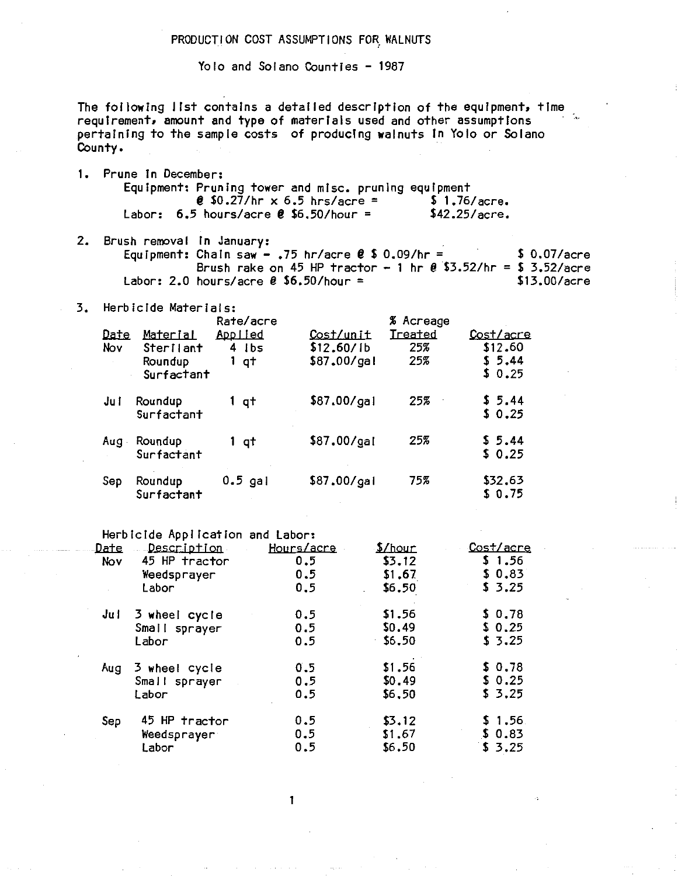#### PRODUCTION COST ASSUMPTIONS FOR WALNUTS

Yolo and Solano Counties - 1987

The following list contains a detailed description of the equipment, time requirement, amount and type of materials used and other assumptions pertaining to the sample costs of producing walnuts in Yolo or Solano County.

- 1. Prune in December: Equipment: Pruning tower and misc. pruning equipment **0** \$0.27/hr  $\times$  6.5 hrs/acre =  $\frac{1}{2}$  1.76/acre. Labor:  $6.5$  hours/acre  $\ell$  \$6.50/hour =  $$42.25/accre.$
- 2. Brush removal in January: Equipment: Chain saw - .75 hr/acre  $0.09/hr =$  $$0.07/accre$ Brush rake on 45 HP tractor - 1 hr  $\ell$  \$3.52/hr = \$ 3.52/acre Labor: 2.0 hours/acre  $\theta$  \$6.50/hour =  $$13.00/accre$
- 3. Herbicide Materials:

|             |                       | Rate/acre                  |                         | % Acreage      |                      |
|-------------|-----------------------|----------------------------|-------------------------|----------------|----------------------|
| Date<br>Nov | Material<br>Sterilant | <u>Applied</u><br>$4$ $1b$ | Cost/unit<br>\$12.60/1b | Treated<br>25% | Cost/acre<br>\$12,60 |
|             | Roundup<br>Surfactant | 1 qt                       | \$87.00/gal             | 25%            | \$5.44<br>\$0.25     |
| Ju i        | Roundup<br>Surfactant | 1 qt                       | \$87.00/gal             | 25%            | \$5.44<br>\$0.25     |
| Aug         | Roundup<br>Surfactant | 1 qt                       | \$87,00/gal             | 25%            | \$5.44<br>\$0.25     |
| Sep         | Roundup<br>Surfactant | $0.5$ gal                  | \$87.00/gal             | 75%            | \$32.63<br>S 0.75    |

Herbicide Application and Labor:

| Date | <u>Description</u> | Hours/acre | $5$ /hour | <u>Cost/acre</u> |
|------|--------------------|------------|-----------|------------------|
| Nov  | 45 HP tractor      | 0.5        | \$3,12    | \$1.56           |
|      | Weedsprayer        | 0.5        | \$1,67    | \$0.83           |
|      | Labor              | 0, 5       | \$6.50    | \$3.25           |
| Jul  | 3 wheel cycle      | 0.5        | \$1.56    | \$0.78           |
|      | Small sprayer      | 0.5        | \$0.49    | \$0.25           |
|      | Labor              | 0.5        | \$6,50    | \$3,25           |
| Aug  | 3 wheel cycle      | 0.5        | \$1.56    | \$0.78           |
|      | Small sprayer      | 0.5        | \$0.49    | \$0.25           |
|      | Labor              | 0.5        | \$6,50    | \$3.25           |
| Sep  | 45 HP tractor      | 0.5        | \$3.12    | \$1.56           |
|      | Weedsprayer        | 0.5        | \$1.67    | \$0.83           |
|      | Labori             | 0.5        | \$6.50    | \$3.25           |

1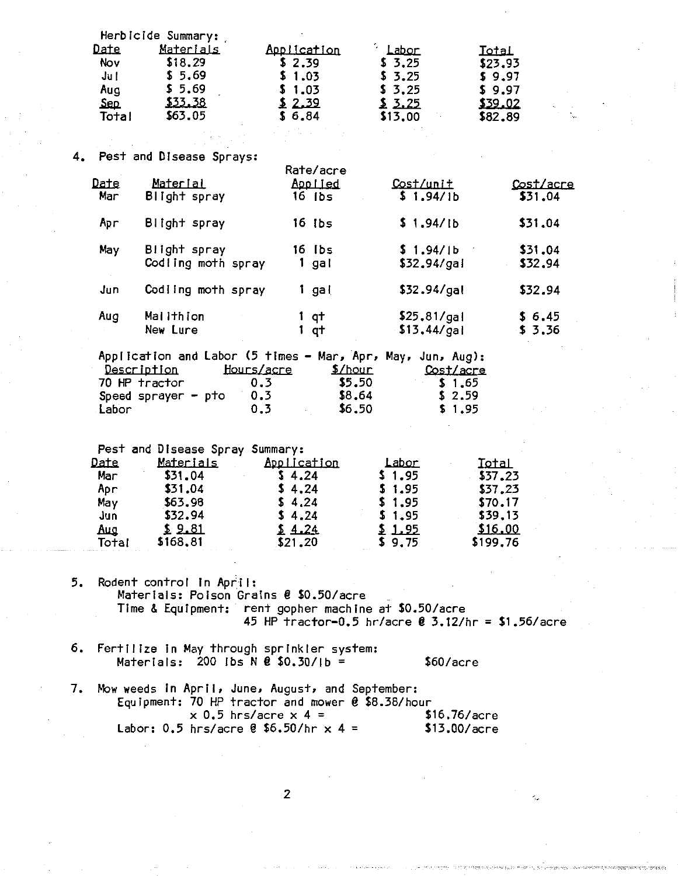|    | Date<br>Nov<br>Ju I<br>Aug<br>Sep<br>Total       | Herbicide Summary:<br>Materials<br>\$18.29<br>\$5.69<br>\$5.69<br>\$33.38<br>\$63.05                         | Application<br>\$2.39<br>\$1.03<br>\$1.03<br>2.39<br>\$6.84                                                                                                                                            | Labor<br>\$3.25<br>5.3.25<br>\$3,25<br>2.25<br>\$13.00          | Total<br>\$23.93<br>\$9.97<br>\$9.97<br>\$39.02<br>\$82,89               |
|----|--------------------------------------------------|--------------------------------------------------------------------------------------------------------------|--------------------------------------------------------------------------------------------------------------------------------------------------------------------------------------------------------|-----------------------------------------------------------------|--------------------------------------------------------------------------|
|    |                                                  | 4. Pest and Disease Sprays:                                                                                  |                                                                                                                                                                                                        |                                                                 |                                                                          |
|    | Date<br>Mar                                      | <u>Material</u><br>Blight spray                                                                              | Rate/acre<br>Applied<br>16 ibs                                                                                                                                                                         | Cost/unit<br>\$1.94/1b                                          | Cost/acre<br>\$31.04                                                     |
|    | Apr                                              | Blight spray                                                                                                 | $16$ $1b$ s                                                                                                                                                                                            | \$1.94/1b                                                       | \$31.04                                                                  |
|    | May                                              | Blight spray<br>Codling moth spray                                                                           | 16 Ibs<br>1 gal                                                                                                                                                                                        | \$1.94/1b<br>\$32.94/gal                                        | \$31.04<br>\$32.94                                                       |
|    | Jun                                              | Codling moth spray                                                                                           | $1$ gal                                                                                                                                                                                                | \$32.94/gal                                                     | \$32.94                                                                  |
|    | Aug                                              | Maiithion<br>New Lure                                                                                        | $1$ q <sup>+</sup><br>$1$ q $+$                                                                                                                                                                        | \$25.81/gal<br>\$13.44/gal                                      | \$6.45<br>\$3.36                                                         |
|    | Labor                                            | Description<br>70 HP tractor<br>Speed sprayer $-$ pto                                                        | Application and Labor (5 times - Mar, Apr, May, Jun, Aug):<br><u>Hours/acre</u><br>\$/hour<br>0.3<br>\$5.50<br>0.3<br>\$8.64<br>0.3<br>\$6.50                                                          | Cost/acre<br>\$1,65<br>\$2.59<br>\$1.95                         |                                                                          |
|    | Date<br>Mar<br>Apr<br>May<br>Jun<br>عسه<br>Total | Pest and Disease Spray Summary:<br>Materials<br>\$31.04<br>\$31.04<br>\$63.98<br>\$32.94<br>2.81<br>\$168.81 | Application<br>\$4.24<br>\$4.24<br>\$4.24<br>\$4.24<br>24.24<br>\$21,20                                                                                                                                | Labor<br>\$1.95<br>\$1.95<br>\$1.95<br>\$1.95<br>1.95<br>\$9.75 | Total<br>\$37.23<br>\$37.23<br>\$70.17<br>\$39.13<br>\$16.00<br>\$199.76 |
| 5. |                                                  | Rodent control in April:                                                                                     | Materials: Poison Grains @ \$0.50/acre<br>Time & Equipment: rent gopher machine at \$0.50/acre<br>45 HP tractor-0.5 hr/acre @ 3.12/hr = \$1.56/acre                                                    |                                                                 |                                                                          |
| 6. |                                                  |                                                                                                              | Fertilize in May through sprinkler system:<br>Materials: 200 lbs $N$ @ \$0.30/lb =                                                                                                                     | \$60/accre                                                      |                                                                          |
| 7. |                                                  |                                                                                                              | Mow weeds in April, June, August, and September:<br>Equipment: 70 HP tractor and mower $\theta$ \$8.38/hour<br>$\times$ 0.5 hrs/acre $\times$ 4 =<br>Labor: 0.5 hrs/acre $\ell$ \$6.50/hr $\times$ 4 = | \$16.76/accre<br>\$13.00/acre                                   |                                                                          |

 $\overline{\mathbf{c}}$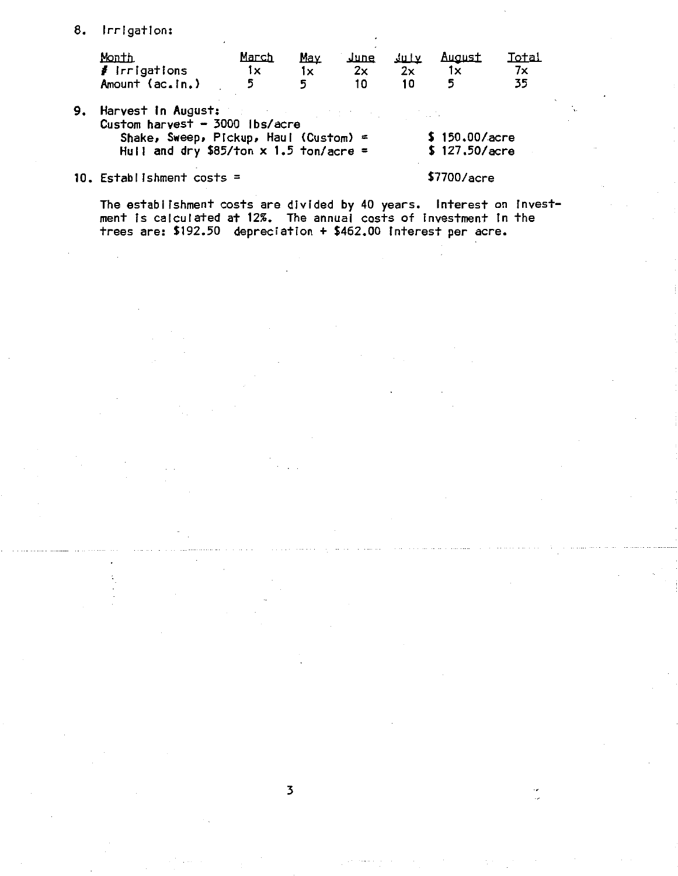8. Irrigation:

| Month                     | March | May |    | <u>June July August</u> | Total |
|---------------------------|-------|-----|----|-------------------------|-------|
| $\frac{1}{2}$ irrigations |       |     | 2x |                         |       |
| Amount (ac.in.)           |       |     |    |                         |       |

9. Harvest In August:  $Customer$  harvest - 3000 lbs/acre Shake, Sweep, Pickup, Haul (Custom) = Hull and dry \$85/ton  $x$  1.5 ton/acre = \$ 150.00/acre \$ 127.50/acre

# 10. Establishment costs =

\$7700/acre

The establ Jshment costs are divided by 40 years. Interest on Investment Is calculated at 12%. The annual costs of Investment Jn the trees are: \$192.50 depreciation + \$462.00 Interest per acre.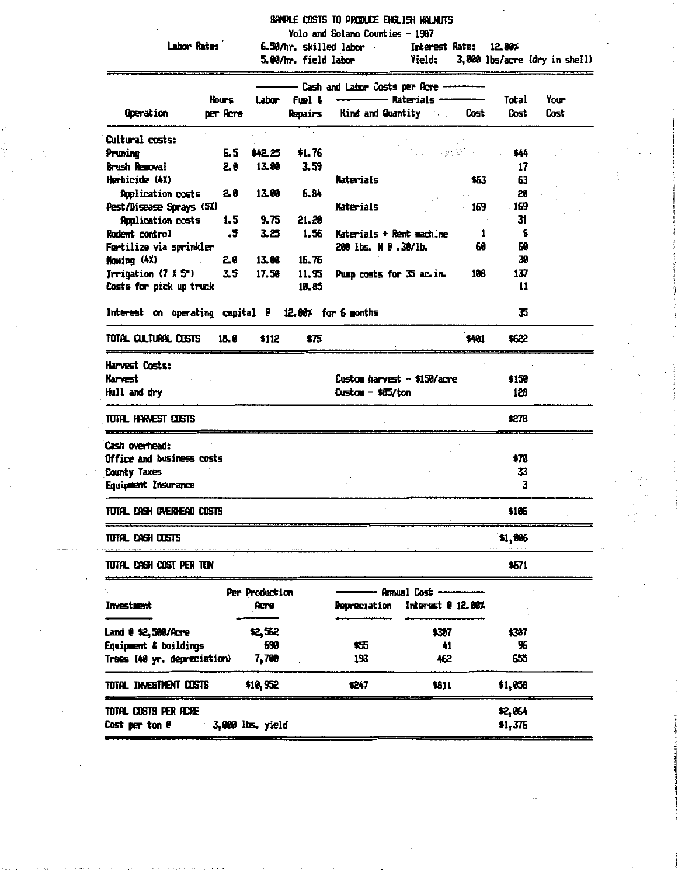|  |  |  |  |  | Sample costs to produce english walnuts |
|--|--|--|--|--|-----------------------------------------|
|--|--|--|--|--|-----------------------------------------|

Yolo and Solano Counties - 1987

Labor Rate:

6.50/hr. skilled labor Interest Rate: 12.88%

3,000 lbs/acre (dry in shell) 5.00/hr. field labor **Yield:** 

|                                                     |          |                  |         | - Cash and Labor Costs per Acre - |                                                                                                                 |       |         |      |
|-----------------------------------------------------|----------|------------------|---------|-----------------------------------|-----------------------------------------------------------------------------------------------------------------|-------|---------|------|
|                                                     | Hours    | <b>Labor</b>     | Fuel 4  |                                   | — Materials —                                                                                                   |       | Total   | Your |
| Operation                                           | per Acre |                  | Repairs |                                   | Kind and Quantity Allen Control of the Muslim Control of the Muslim Control of the Muslim Control of the Muslim | Cost  | Cost    | Cost |
| <b>Dultural costs:</b>                              |          |                  |         |                                   |                                                                                                                 |       |         |      |
| Pruning                                             | 6.5      | \$42.25          | \$1.76  |                                   |                                                                                                                 |       | \$44    |      |
| Brush Removal                                       | 20       | 13.88            | 3.59    |                                   |                                                                                                                 |       | 17      |      |
| Herbicide (4X)                                      |          |                  |         | <b>Materials</b>                  |                                                                                                                 | 463   | 63      |      |
| <b>Application costs</b>                            | 20       | 13.80            | 6.B4    |                                   |                                                                                                                 |       | 28      |      |
| Pest/Disease Sprays (5X)                            |          |                  |         | <b>Materials</b>                  |                                                                                                                 | 169   | 169     |      |
| <b>Application costs</b>                            | 1.5      | 9.75             | 21.28   |                                   |                                                                                                                 |       | 31      |      |
| Rodent control                                      | .5       | 3.25             | 1.56    | Materials + Rent machine          |                                                                                                                 | 1     | 6       |      |
| Fertilize via sprinkler                             |          |                  |         | 200 lbs. N @ .30/lb.              |                                                                                                                 | 60    | 69      |      |
| Howing (4X)                                         | 2.0      | 13.88            | 16.76   |                                   |                                                                                                                 |       | 39      |      |
| Irrigation $(7 \times 5)$                           | 3.5      | 17.50            | 11.95   | Pump costs for 35 ac.in.          |                                                                                                                 | 108   | 137     |      |
| Costs for pick up truck                             |          |                  | 10.85   |                                   |                                                                                                                 |       | 11      |      |
|                                                     |          |                  |         |                                   |                                                                                                                 |       |         |      |
| Interest on operating capital @ 12.00% for 6 months |          |                  |         |                                   |                                                                                                                 |       | 35      |      |
| TOTAL CULTURAL COSTS                                | 18.0     | \$112            | \$75    |                                   |                                                                                                                 | \$401 | \$622   |      |
| Harvest Costs:                                      |          |                  |         |                                   |                                                                                                                 |       |         |      |
| <b>Harvest</b>                                      |          |                  |         | Custom harvest - \$150/acre       |                                                                                                                 |       | \$150   |      |
| Hull and dry                                        |          |                  |         | $Custom - $85/ton$                |                                                                                                                 |       | 128     |      |
|                                                     |          |                  |         |                                   |                                                                                                                 |       |         |      |
| TOTAL HARVEST COSTS                                 |          |                  |         |                                   |                                                                                                                 |       | \$278   |      |
| Cash overhead:                                      |          |                  |         |                                   |                                                                                                                 |       |         |      |
| Office and business costs                           |          |                  |         |                                   |                                                                                                                 |       | \$70    |      |
| <b>County Taxes</b>                                 |          |                  |         |                                   |                                                                                                                 |       | 33      |      |
| Equipment Insurance                                 |          |                  |         |                                   |                                                                                                                 |       | 3       |      |
| Total Cash overhead costs                           |          |                  |         |                                   |                                                                                                                 |       | \$186   |      |
| total cash costs                                    |          |                  |         |                                   |                                                                                                                 |       | \$1,806 |      |
| total cash cost per ton                             |          |                  |         |                                   |                                                                                                                 |       | \$671   |      |
|                                                     |          | Per Production   |         |                                   | Annual Cost -                                                                                                   |       |         |      |
| Investment                                          |          | Acre             |         | Depreciation                      | Interest @ 12.00%                                                                                               |       |         |      |
|                                                     |          |                  |         |                                   |                                                                                                                 |       |         |      |
| Land @ \$2,580/Acre                                 |          | <b>12,52</b>     |         |                                   | \$307                                                                                                           |       | \$387   |      |
| Equipment & buildings                               |          | 690              |         | 炀                                 | 41                                                                                                              |       | 96      |      |
| Trees (40 yr. depreciation)                         |          | 7,700            |         | 193                               | 462                                                                                                             |       | 655     |      |
| total investment costs                              |          | \$10,952         |         | 1247                              | \$811                                                                                                           |       | \$1,058 |      |
| TOTAL COSTS PER ACRE                                |          |                  |         |                                   |                                                                                                                 |       | \$2,064 |      |
| Cost per ton @                                      |          | 3,000 lbs. yield |         |                                   |                                                                                                                 |       | \$1,376 |      |
|                                                     |          |                  |         |                                   |                                                                                                                 |       |         |      |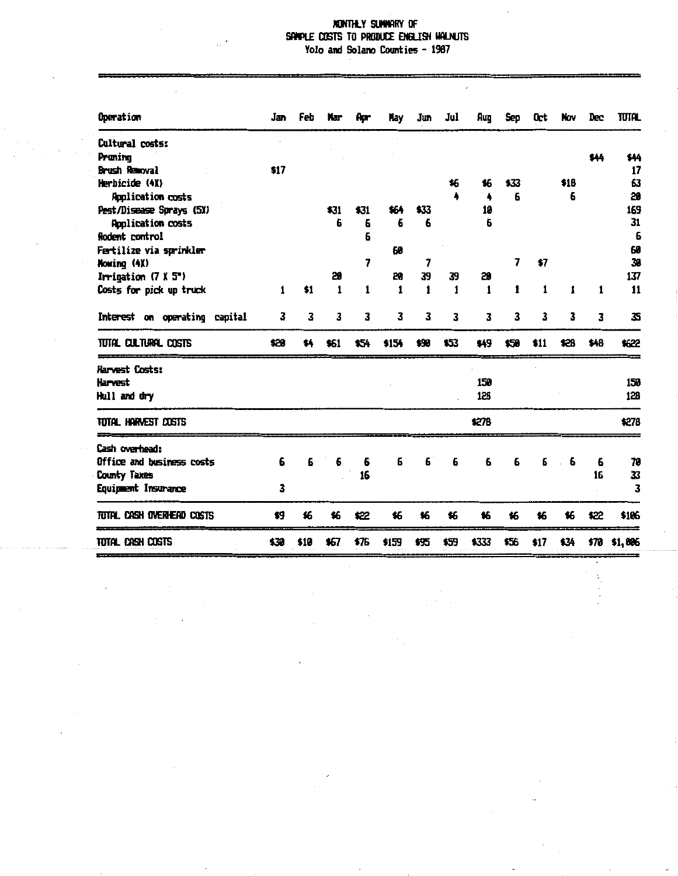### MONTHLY SUMMARY OF SAMPLE COSTS TO PRODUCE ENGLISH WALNUTS Yolo and Solano Counties - 1987

 $\bar{\phantom{a}}$ 

| Operation                     | Jan  | Feb  | Mar  | Apr  | <b>Hay</b> | Jun  | Jul  | Aug   | Sep  | 0ct  | <b>Nov</b> | Dec  | <b>TUTAL</b> |
|-------------------------------|------|------|------|------|------------|------|------|-------|------|------|------------|------|--------------|
| Cultural costs:               |      |      |      |      |            |      |      |       |      |      |            |      |              |
| Pruning                       |      |      |      |      |            |      |      |       |      |      |            | \$44 | \$44         |
| Brush Removal                 | \$17 |      |      |      |            |      |      |       |      |      |            |      | 17           |
| Herbicide (4X)                |      |      |      |      |            |      | 46   | 16    | \$33 |      | \$16       |      | 63           |
| <b>Application costs</b>      |      |      |      |      |            |      |      | 4     | 6    |      | 6          |      | 28           |
| Pest/Disease Sprays (5X)      |      |      | \$31 | \$31 | 464        | \$33 |      | 18    |      |      |            |      | 169          |
| <b>Application costs</b>      |      |      | Б    | 6    | 6          | 6    |      | 6     |      |      |            |      | 31           |
| Rodent control                |      |      |      | 6    |            |      |      |       |      |      |            |      | 6            |
| Fertilize via sprinkler       |      |      |      |      | 59         |      |      |       |      |      |            |      | 60           |
| Mowing (4X)                   |      |      |      | 7    |            | 7    |      |       | 7    | \$7  |            |      | 38           |
| Irrigation $(7 \times 5)$     |      |      | 28   |      | 28         | 39   | 39   | 20    |      |      |            |      | 137          |
| Costs for pick up truck       | 1    | \$1  | 1    | 1    | 1          | 1    | 1    | 1     | 1    | 1    | 1          | 1    | 11           |
| Interest on operating capital | 3    | 3    | 3    | 3    | 3          | 3    | 3    | 3     | 3    | 3    | 3          | 3    | 35           |
| TUTAL CULTURAL COSTS          | \$28 | \$4  | \$61 | \$54 | \$154      | \$98 | \$53 | \$49  | \$50 | \$11 | \$28       | \$48 | \$622        |
| Harvest Costs:                |      |      |      |      |            |      |      |       |      |      |            |      |              |
| Harvest                       |      |      |      |      |            |      |      | 150   |      |      |            |      | 153          |
| Hull and dry                  |      |      |      |      |            |      |      | 128   |      |      |            |      | 128          |
| Total Harvest Costs           |      |      |      |      |            |      |      | \$278 |      |      |            |      | \$278        |
| Cash overhead:                |      |      |      |      |            |      |      |       |      |      |            |      |              |
| Office and business costs     | 6    | 6    | 6    | 6    | 6          | 6    | 6    | 6     | 6    | 6    | 6          | 6    | 70           |
| County Taxes                  |      |      |      | 16   |            |      |      |       |      |      |            | 16   | 33           |
| Equipment Insurance           | 3    |      |      |      |            |      |      |       |      |      |            |      | 3            |
|                               |      |      |      |      |            |      |      |       |      |      |            |      |              |
| TUTAL CASH OVERHEAD COSTS     | \$9  | 46   | 46   | \$22 | 46         | 16   | \$6  | 鉐     | 16   | \$6  | 46         | \$22 | \$106        |
| Total Cash Costs              | \$30 | \$10 | \$67 | \$76 | \$159      | \$55 | \$59 | \$333 | \$56 | \$17 | \$34       |      | \$70 \$1,886 |

 $\cdot$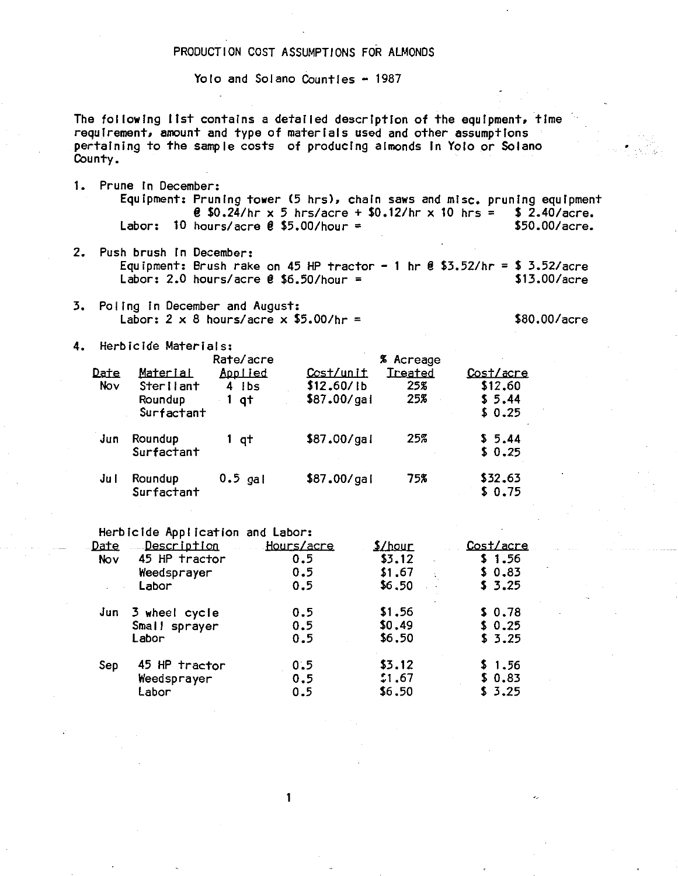# PRODUCTION COST ASSUMPTIONS FOR ALMONDS

Yolo and Solano Counties - 1987

The following list contains a detailed description of the equipment, time requirement, amount and type of materials used and other assumptions pertaining to the sample costs of producing almonds in Yolo or Solano County.

- 1. Prune in December: Equipment: Pruning tower (5 hrs), chain saws and misc. pruning equipment **@ \$0.24/hr x 5 hrs/acre + \$0.12/hr x 10 hrs = \$ 2.40/acre.** Labor: 10 hours/acre  $\ell$  \$5.00/hour =  $$50.00/acre.$
- 2. Push brush in December: Equipment: Brush rake on 45 HP tractor - 1 hr  $\ell$  \$3.52/hr = \$ 3.52/acre Labor: 2.0 hours/acre  $\ell$  \$6.50/hour = \$13.00/acre
- 3. Poling in December and August: Labor:  $2 \times 8$  hours/acre  $\times$  \$5.00/hr =

\$80.00/acre

4. Herbicide Materials:

|                    |                                         | Rate/acre                |                                        | % Acreage             |                                |
|--------------------|-----------------------------------------|--------------------------|----------------------------------------|-----------------------|--------------------------------|
| <u>Date</u><br>Nov | <u>Material</u><br>Sterilant<br>Roundup | Applied<br>4 Ibs<br>1 at | Cost/unit<br>\$12,60/lb<br>\$87.00/gal | Treated<br>25%<br>25% | Cost/acre<br>\$12,60<br>\$5.44 |
| Jun                | Surfactant<br>Roundup<br>Surfactant     | $1$ q $t$                | \$87.00/gal                            | 25%                   | \$0.25<br>\$5.44<br>\$0.25     |
| Ju I               | Roundup<br>Surfactant                   | $0.5$ gal                | \$87.00/gal                            | 75%                   | \$32.63<br>\$0.75              |

Herbicide Application and Labor:

| <u>Date</u> | Description       | Hours/acre | \$/hour | Cost/acre |
|-------------|-------------------|------------|---------|-----------|
| Nov         | 45 HP tractor     | 0.5        | \$3.12  | \$1.56    |
|             | Weedsprayer       | 0.5        | \$1.67  | \$0.83    |
|             | Labor             | 0.5        | \$6,50  | \$3.25    |
|             | Jun 3 wheel cycle | 0.5        | \$1,56  | \$0.78    |
|             | Small sprayer     | 0.5        | \$0.49  | \$0.25    |
|             | Labor             | 0.5        | \$6.50  | \$3.25    |
| Sep         | 45 HP tractor     | 0.5        | \$3.12  | \$1.56    |
|             | Weedsprayer       | 0.5        | 1.67    | \$0.83    |
|             | Labor             | 0.5        | \$6,50  | \$3.25    |

1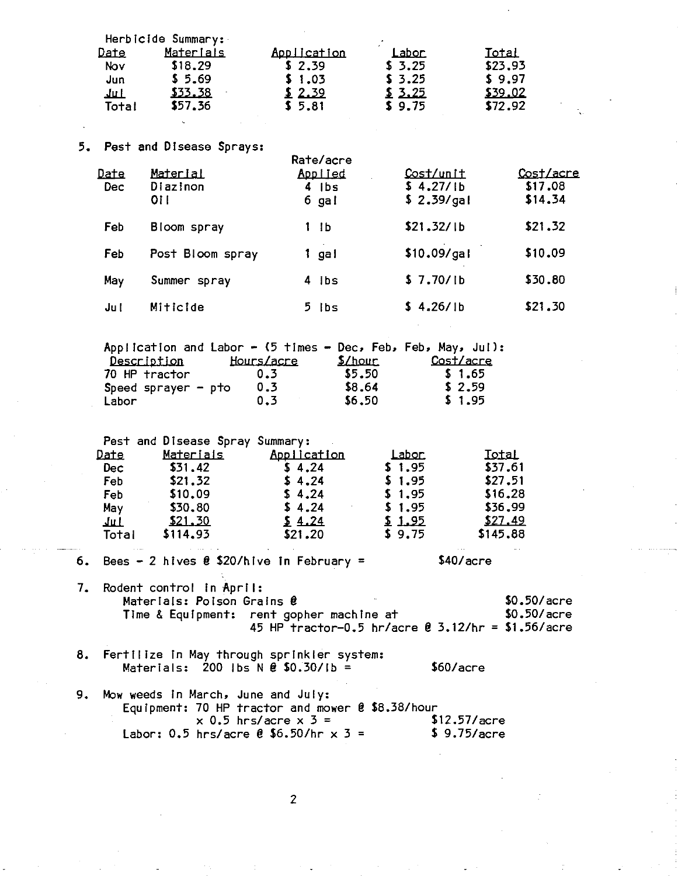|       | Herbicide Summary: |             |                |         |
|-------|--------------------|-------------|----------------|---------|
| Date  | Materials          | Application | <u> Labor </u> | Total   |
| Nov   | \$18.29            | \$2.39      | \$3.25         | \$23.93 |
| Jun   | \$5.69             | \$1.03      | \$3.25         | \$9.97  |
| لىلا  | \$33.38            | 2.39        | \$3.25         | \$39.02 |
| Total | \$57.36            | \$5.81      | \$9.75         | \$72.92 |
|       |                    |             |                |         |
|       |                    |             |                |         |

#### 5. Pest and Disease Sprays:

| Date<br><b>Dec</b> | Material<br>Diazinon<br>01 L | кате/асге<br><u>Applied</u><br>$4$ Ibs<br>6 gal | Cost/unit<br>\$4.27/1b<br>\$2.39/gal | Cost/acre<br>\$17,08<br>\$14.34 |
|--------------------|------------------------------|-------------------------------------------------|--------------------------------------|---------------------------------|
| Feb                | Bloom spray                  | 1 I b                                           | \$21.32/1b                           | \$21.32                         |
| Feb                | Post Bloom spray             | 1 gal                                           | \$10.09/gal                          | \$10.09                         |
| May                | Summer spray                 | 4 ibs                                           | \$7.70/lb                            | \$30.80                         |
| Jul                | <b>Miticide</b>              | 5 Ibs                                           | \$4.26/1b                            | \$21.30                         |

|                       | Application and Labor - $(5 +_1)$ imes - Dec, Feb, Feb, May, Jul): |               |           |
|-----------------------|--------------------------------------------------------------------|---------------|-----------|
| Description           | Hours/acre                                                         | <u>S/hour</u> | Cost/acre |
| 70 HP tractor         | 0.3                                                                | \$5.50        | \$1.65    |
| Speed sprayer $-$ pto | 0.3                                                                | \$8.64        | \$2.59    |
| Labor                 | 0.3                                                                | \$6.50        | \$1.95    |

Pest and Disease Spray Summary:

| Date  | <u>Materials</u> | Application | <u>Labor.</u> | Iotal    |
|-------|------------------|-------------|---------------|----------|
| Dec   | \$31.42          | \$4.24      | \$1.95        | \$37.61  |
| Feb   | \$21.32          | \$4.24      | \$1.95        | \$27.51  |
| Feb   | \$10.09          | \$4.24      | \$1.95        | \$16.28  |
| May   | \$30.80          | \$4.24      | \$1.95        | \$36.99  |
| للعام | <u>\$21.30</u>   | 24.24       | \$1.95        | \$27.49  |
| Total | \$114.93         | \$21.20     | \$9.75        | \$145.88 |
|       |                  |             |               |          |

- 6. Bees 2 hives  $\theta$  \$20/hive in February =
- $7.$ Rodent control in April: \$0.50/acre Materials: Poison Grains @ \$0.50/acre Time & Equipment: rent gopher machine at 45 HP tractor-0.5 hr/acre @ 3.12/hr = \$1.56/acre

\$40/acre

- 8. Fertilize in May through sprinkler system: Materials: 200 lbs N  $\theta$  \$0.30/lb =  $$60/accre$
- Mow weeds in March, June and July: 9. Equipment: 70 HP tractor and mower @ \$8.38/hour<br>x 0.5 hrs/acre x 3 = \$ \$12.57/acre Labor: 0.5 hrs/acre  $\ell$  \$6.50/hr x 3 = \$9.75/acre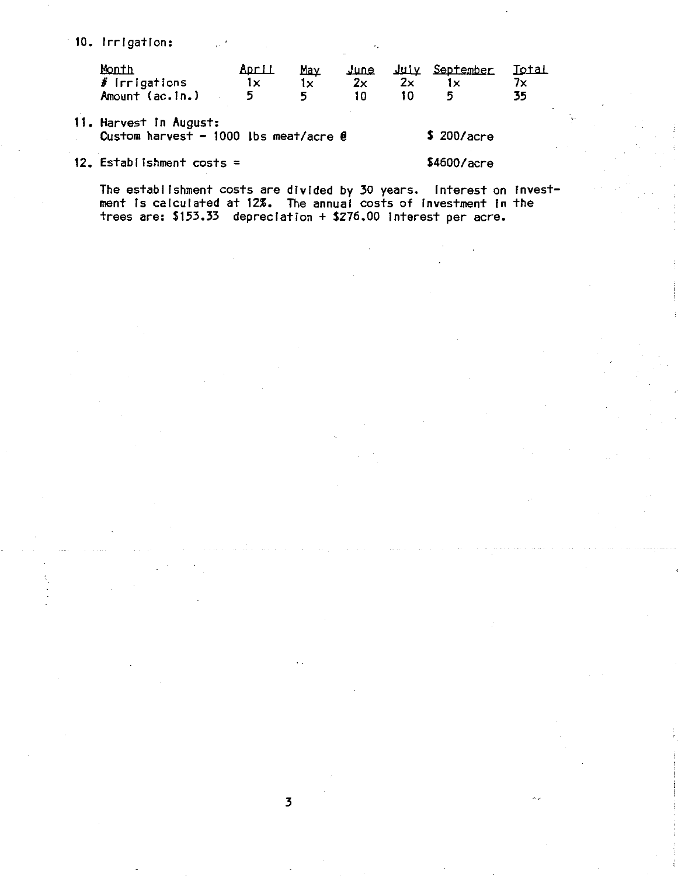10. Irrigation:

| Month           | <u>April</u> | Mav |    |    | <u>June July September Total</u> |    |
|-----------------|--------------|-----|----|----|----------------------------------|----|
| $#$ irrigations |              |     | 2x | 2x |                                  |    |
| Amount (ac.in.) |              |     |    |    |                                  | 35 |

11. Harvest In August: Custom harvest - 1000 lbs meat/acre  $\ell$  \$ 200/acre

12. Establishment costs= \$4600/acre

The establishment costs are divided by 30 years. Interest on Investment ls calculated at 12%. The annual costs of Investment In the trees are: \$153.33 depreciation + \$276.00 Interest per acre.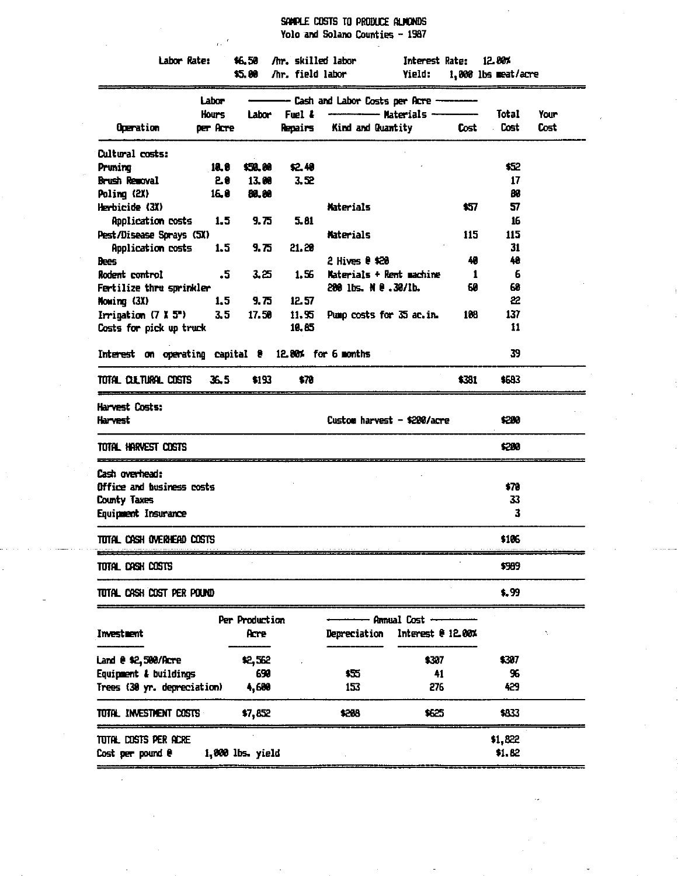SAMPLE COSTS TO PRODUCE ALMONDS Yolo and Solano Counties - 1987

|                                                     | $\sim$ $^{\prime}$ |                  |                         | into the whole contricts  This            |                       |       |                     |      |
|-----------------------------------------------------|--------------------|------------------|-------------------------|-------------------------------------------|-----------------------|-------|---------------------|------|
| Labor Rate:                                         |                    |                  |                         | \$6.50 /hr. skilled labor                 | Interest Rate: 12.80% |       |                     |      |
|                                                     |                    |                  | \$5.00 /hr. field labor |                                           | Yield:                |       | 1,000 lbs meat/acre |      |
|                                                     | Labor              |                  |                         | - Cash and Labor Costs per Acre --------- |                       |       |                     |      |
|                                                     | <b>Hours</b>       | Labor            | Fuel &                  | --------------- Materials --------------  |                       |       | Total               | Your |
| Operation                                           | per Acre           |                  | Repairs                 | Kind and Quantity                         |                       | Cost  | Cost                | Cost |
| Cultural costs:                                     |                    |                  |                         |                                           |                       |       |                     |      |
| Pruning                                             | 10. O              | \$50.00          | \$2.48                  |                                           |                       |       | \$52                |      |
| Brush Removal                                       | 20                 | 13.00            | 3,52                    |                                           |                       |       | 17                  |      |
| Poling (2X)                                         | 16.0               | 80.00            |                         |                                           |                       |       | 88                  |      |
| Herbicide (3X)                                      |                    |                  |                         | <b>Materials</b>                          |                       | \$57. | 57                  |      |
| Application costs                                   | 1,5                | 9.75             | 5.81                    |                                           |                       |       | 16                  |      |
| Pest/Disease Sprays (SX)                            |                    |                  |                         | <b>Materials</b>                          |                       | 115   | 115                 |      |
| Application costs                                   | 1.5                | 9.75             | 21.20                   |                                           |                       |       | 31                  |      |
| <b>Bees</b>                                         |                    |                  |                         | $2$ Hives $e$ \$20                        |                       | 40    | 40                  |      |
| Rodent control                                      | $\cdot$ 5          | 3.25             | 1.56                    | Materials + Rent machine                  |                       | -1    | 6                   |      |
| Fertilize thru sprinkler                            |                    |                  |                         | 200 lbs. N e .30/lb.                      |                       | 60    | 68                  |      |
| Howing (3X)                                         | 1.5                | 9. 75            | 12.57                   |                                           |                       |       | 22                  |      |
| Irrigation $(7 \times 5^*)$                         | 3, 5               | 17.50            | 11.95                   | Pump costs for 35 ac.in.                  |                       | 188   | 137                 |      |
| Costs for pick up truck                             |                    |                  | 10.85                   |                                           |                       |       | 11                  |      |
| Interest on operating capital 8 12.80% for 6 months |                    |                  |                         |                                           |                       |       | 39                  |      |
| total clutural costs                                | 36.5               | \$193            | \$78                    |                                           |                       | \$381 | \$683               |      |
| Harvest Costs:<br>Harvest                           |                    |                  |                         | Custom harvest - \$200/acre               |                       |       | \$200               |      |
| TOTAL HARVEST COSTS                                 |                    |                  |                         |                                           |                       |       | \$280               |      |
| Cash overhead:                                      |                    |                  |                         |                                           |                       |       |                     |      |
| Office and business costs                           |                    |                  |                         |                                           |                       |       | \$70                |      |
| County Taxes                                        |                    |                  |                         |                                           |                       |       | 33                  |      |
| Equipment Insurance                                 |                    |                  |                         |                                           |                       |       | 3                   |      |
| TOTAL CASH OVERHEAD COSTS                           |                    |                  |                         |                                           |                       |       | \$105               |      |
| total cash costs                                    |                    |                  |                         |                                           |                       |       | \$389               |      |
| tutal cash cost per pound                           |                    |                  |                         |                                           |                       |       | \$.99               |      |
|                                                     |                    | Per Production   |                         |                                           | Annual Cost -         |       |                     |      |
| Investment                                          |                    | Acre             |                         | Depreciation                              | Interest @ 12.00%     |       |                     |      |
| Land @ \$2,500/Acre                                 |                    | \$2,562          |                         |                                           | \$307                 |       | \$387               |      |
| Equipment & buildings                               |                    | 690              |                         | 牯                                         | 41                    |       | 96                  |      |
| Trees (30 yr. depreciation)                         |                    | 4,600            |                         | 153                                       | 276                   |       | 429                 |      |
| total investment costs                              |                    | \$7,852          |                         | \$208                                     | 1625                  |       | \$833               |      |
| total, costs per acre                               |                    |                  |                         |                                           |                       |       | \$1,822             |      |
| Cost per pound e                                    |                    | 1,000 lbs. yield |                         |                                           |                       |       | \$1.82              |      |

 $\hat{\mathcal{A}}$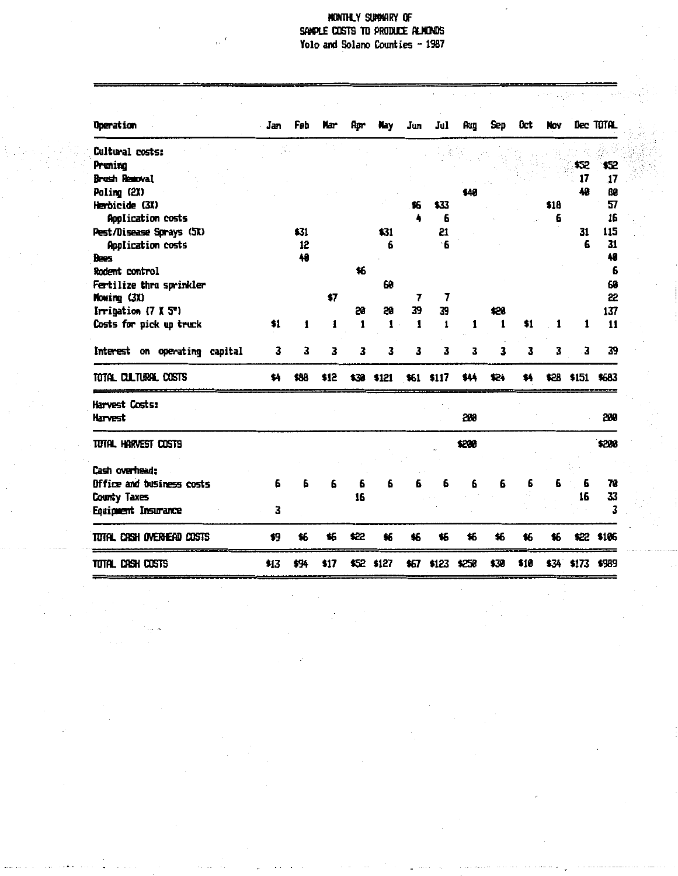# MONTHLY SUMMARY OF<br>SAMPLE COSTS TO PRODUCE ALMONDS Yolo and Solano Counties - 1987

| <b>Operation</b>              | Jan  | Feb  | Nar  | Apr          | Hay          | Jun          | Jul              | Aug   | Sep  | 0ct  | Nov  |       | Dec TOTAL        |
|-------------------------------|------|------|------|--------------|--------------|--------------|------------------|-------|------|------|------|-------|------------------|
| Cultural costs:               |      |      |      |              |              |              |                  |       |      |      |      |       |                  |
| Pruning                       |      |      |      |              |              |              |                  |       |      |      |      | \$52  | \$52             |
| Brush Removal                 |      |      |      |              |              |              |                  |       |      |      |      | 17    | 17               |
| Poling (2X)                   |      |      |      |              |              |              |                  |       |      |      |      | 48    | 80               |
| Herbicide (3X)                |      |      |      |              |              | 钻            | \$33             |       |      |      | \$18 |       | 57               |
| Application costs             |      |      |      |              |              |              | 6                |       |      |      | 6    |       | 16               |
| Pest/Disease Sprays (5X)      |      | \$31 |      |              | \$31         |              | 57               |       |      |      |      | 31    | 115              |
| Application costs             |      | 12   |      |              | 6            |              | ٠6               |       |      |      |      | 6     | 31               |
| Bees                          |      | 48   |      |              |              |              |                  |       |      |      |      |       | 48               |
| Rodent control                |      |      |      | \$6          |              |              |                  |       |      |      |      |       | 6                |
| Fertilize thru sprinkler      |      |      |      |              | 60           |              |                  |       |      |      |      |       | 68               |
| Mowing (3X)                   |      |      | \$7  |              |              | 7            | 7                |       |      |      |      |       | 22               |
| Irrigation $(7 \times 5)$     |      |      |      | 20           | 59           | 39           | 39               |       | \$28 |      |      |       | 137              |
| Costs for pick up truck       | \$1  | 1    | 1    | $\mathbf{1}$ | $\mathbf{1}$ | $\mathbf{1}$ | 1                | 1     | 1    | \$1  | 1    | 1     | 11               |
| Interest on operating capital | 3    | 3    | 3    | 3            | 3            | 3            | 3                | 3     | 3    | 3    | 3    | 3     | 39               |
| TOTAL CULTURAL COSTS          | \$4  | \$88 | \$12 |              | \$30 \$121   | \$61 \$117   |                  | \$44  | \$24 | \$4  | \$28 | \$151 | \$683            |
| Harvest Costs:                |      |      |      |              |              |              |                  |       |      |      |      |       |                  |
| Harvest                       |      |      |      |              |              |              |                  | 200   |      |      |      |       | 200              |
| TOTAL HARVEST COSTS           |      |      |      |              |              |              |                  | \$208 |      |      |      |       | \$200            |
|                               |      |      |      |              |              |              |                  |       |      |      |      |       |                  |
| Cash overhead:                |      |      |      |              |              |              |                  |       |      |      |      |       |                  |
| Office and business costs     | 6    | 6    | 6    | 6            | 6            | 6            | 6                | 6     | 6    | 6    | 6    | 6     | 70               |
| <b>County Taxes</b>           |      |      |      | 16           |              |              |                  |       |      |      |      | 16    | 33               |
| Equipment Insurance           | 3    |      |      |              |              |              |                  |       |      |      |      |       | 3                |
| Tutal Cash overhead costs     | \$9  | \$6  | \$6  | \$22         | \$6          | \$6          | \$6              | \$6   | \$6  | \$6  | \$6  | \$22  | \$105            |
| Total CASH COSTS              | \$13 | \$94 | \$17 |              | \$52 \$127   |              | \$67 \$123 \$250 |       | \$39 | \$10 |      |       | \$34 \$173 \$989 |

t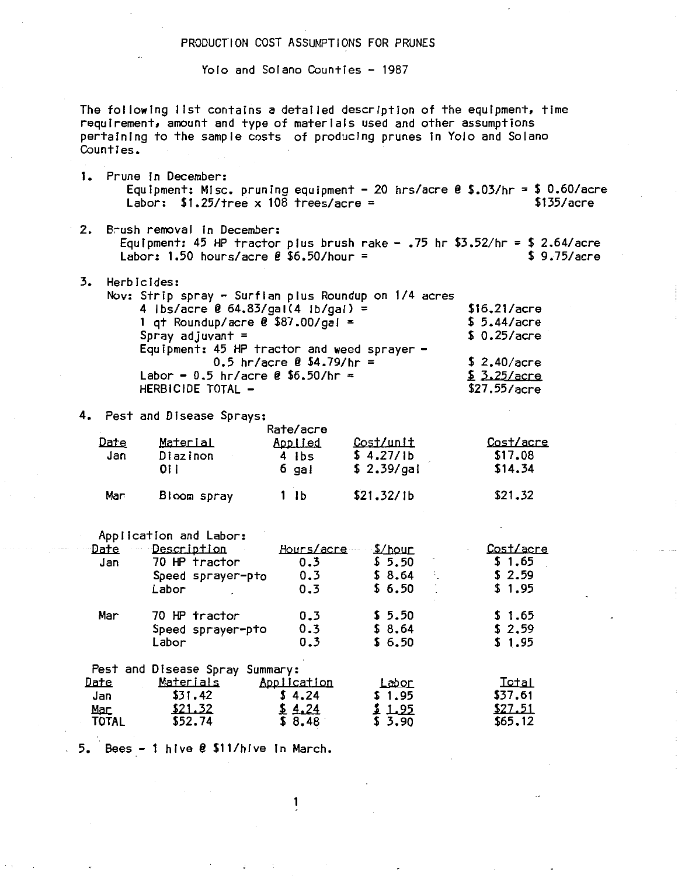#### PRODUCTION COST ASSUMPTIONS FOR PRUNES

Yolo and Solano Counties - 1987

The following list contains a detailed description of the equipment, time requirement, amount and type of materials used and other assumptions pertaining to the sample costs of producing prunes fn Yolo and Solano Counties.

- 1. Prune in December: Equipment: Misc. pruning equipment - 20 hrs/acre @ \$.03/hr = \$ 0.60/acre Labor:  $$1.25/$  tree x  $108$  trees/acre = \$135/acre
- 2. B~ush removal fn December: Equipment: 45 HP tractor plus brush rake  $-$  .75 hr  $$3.52/hr = $2.64/acre$ Labor:  $1.50$  hours/acre  $\ell$  \$6.50/hour = \$ 9.75/acre
- 3. Herbicides: Nov: Strip spray - Surflan plus Roundup on 1/4 acres 4 lbs/acre  $\ell$  64.83/gal(4 lb/gal) = 1 qt Roundup/acre  $\ell$  \$87.00/gal = Spray adjuvant = Equipment: 45 HP tractor and weed sprayer -<br>0.5 hr/acre  $\ell$  \$4.79/hr = Labor - 0.5 hr/acre  $\ell$  \$6.50/hr = HERBICIDE TOTAL -\$16.21/acre \$ 5.44/acre \$ 0.25/acre \$ 2.40/acre  $$3.25/accre$ \$27.55/acre

4. Pest and Disease Sprays:

| Date<br>Jan | Material<br>Di az i non<br>01 I | Rate/acre<br>Applied<br>4 ibs<br>$6$ gal | Cost/unit<br>\$4.27/1b<br>\$2.39/gal | Cost/acre<br>\$17.08<br>\$14.34 |
|-------------|---------------------------------|------------------------------------------|--------------------------------------|---------------------------------|
| Mar         | Bloom spray                     | 1 Ib                                     | \$21.32/1b                           | \$21.32                         |

Application and labor:

| Date         | Description                     | <u>Hours/acre</u> | \$/hour      | <u>Cost/acre</u> |
|--------------|---------------------------------|-------------------|--------------|------------------|
| Jan          | 70 HP tractor                   | 0.3               | \$5.50       | \$1.65           |
|              | Speed sprayer-pto               | 0.3               | \$8.64<br>÷. | \$2.59           |
|              | Labor                           | 0.3               | \$6.50       | \$1.95           |
| Mar          | 70 HP tractor                   | 0.3               | \$5.50       | \$1.65           |
|              | Speed sprayer-pto               | 0.3               | \$8.64       | \$2.59           |
|              | Labor                           | 0.3               | \$6.50       | \$1.95           |
|              | Pest and Disease Spray Summary: |                   |              |                  |
| <u>Date</u>  | <u>Materials</u>                | Application       | <u>Labor</u> | <u>Total</u>     |
| Jan          | \$31.42                         | \$4.24            | \$1.95       | \$37.61          |
| Mac          | \$21.32                         | 24                | \$ 1.95      | \$27.51          |
| <b>TOTAL</b> | \$52.74                         | \$8.48            | \$3.90       | \$65.12          |

1

5. Bees - 1 hive @ \$11/hive in March.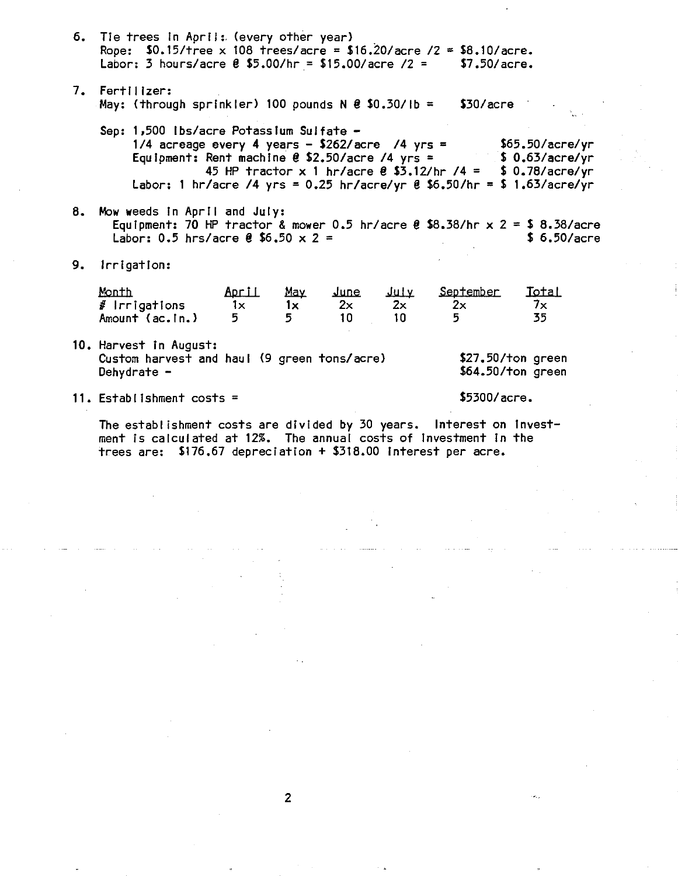|    | <b>b.</b> The trees in April: (every other year)<br>Rope: $$0.15/\text{tree} \times 108 \text{ trees/acre} = $16.20/\text{acre} / 2 = $8.10/\text{acre}.$<br>Labor: 3 hours/acre $\ell$ \$5.00/hr = \$15.00/acre /2 = |                          |                |                         |                   | \$7.50/acre.                                                                                                                                                                                                                                                                                          |                                          |  |
|----|-----------------------------------------------------------------------------------------------------------------------------------------------------------------------------------------------------------------------|--------------------------|----------------|-------------------------|-------------------|-------------------------------------------------------------------------------------------------------------------------------------------------------------------------------------------------------------------------------------------------------------------------------------------------------|------------------------------------------|--|
|    | 7. Fertilizer:<br>May: (through sprinkler) 100 pounds $N \theta$ \$0.30/lb = \$30/acre                                                                                                                                |                          |                |                         |                   |                                                                                                                                                                                                                                                                                                       |                                          |  |
|    | Sep: 1,500 lbs/acre Potassium Sulfate -                                                                                                                                                                               |                          |                |                         |                   | 1/4 acreage every 4 years - \$262/acre /4 yrs = $$65.50/accr$ e/yr<br>Equipment: Rent machine $\ell$ \$2.50/acre /4 yrs = $\ell$ \$ 0.63/acre/yr<br>45 HP tractor x 1 hr/acre $\ell$ \$3.12/hr /4 = \$ 0.78/acre/yr<br>Labor: 1 hr/acre /4 yrs = 0.25 hr/acre/yr $\theta$ \$6.50/hr = \$ 1.63/acre/yr |                                          |  |
| 8. | Mow weeds in April and July:<br>Equipment: 70 HP tractor & mower 0.5 hr/acre $\ell$ \$8.38/hr x 2 = \$ 8.38/acre<br>Labor: 0.5 hrs/acre $\ell$ \$6.50 x 2 =                                                           |                          |                |                         |                   |                                                                                                                                                                                                                                                                                                       | \$6.50/accre                             |  |
| 9. | Irrigation:                                                                                                                                                                                                           |                          |                |                         |                   |                                                                                                                                                                                                                                                                                                       |                                          |  |
|    | Month<br># Irrigations<br>Amount (ac.in.)                                                                                                                                                                             | April<br>$1\times$<br>5. | May<br>1x<br>5 | <u>June</u><br>2x<br>10 | علىلا<br>2x<br>10 | September<br>2x<br>5.                                                                                                                                                                                                                                                                                 | <b>I</b> stal<br>$7\times$<br>35         |  |
|    | 10. Harvest in August:<br>Custom harvest and haul (9 green tons/acre)<br>Dehydrate $-$                                                                                                                                |                          |                |                         |                   |                                                                                                                                                                                                                                                                                                       | $$27.50$ /ton green<br>\$64.50/ton green |  |
|    | 11. Establishment costs =                                                                                                                                                                                             |                          |                |                         |                   | \$5300/accre.                                                                                                                                                                                                                                                                                         |                                          |  |

The establishment costs are divided by 30 years. Interest on invest-<br>ment is calculated at 12%. The annual costs of investment in the trees are: \$176.67 depreciation + \$318.00 interest per acre.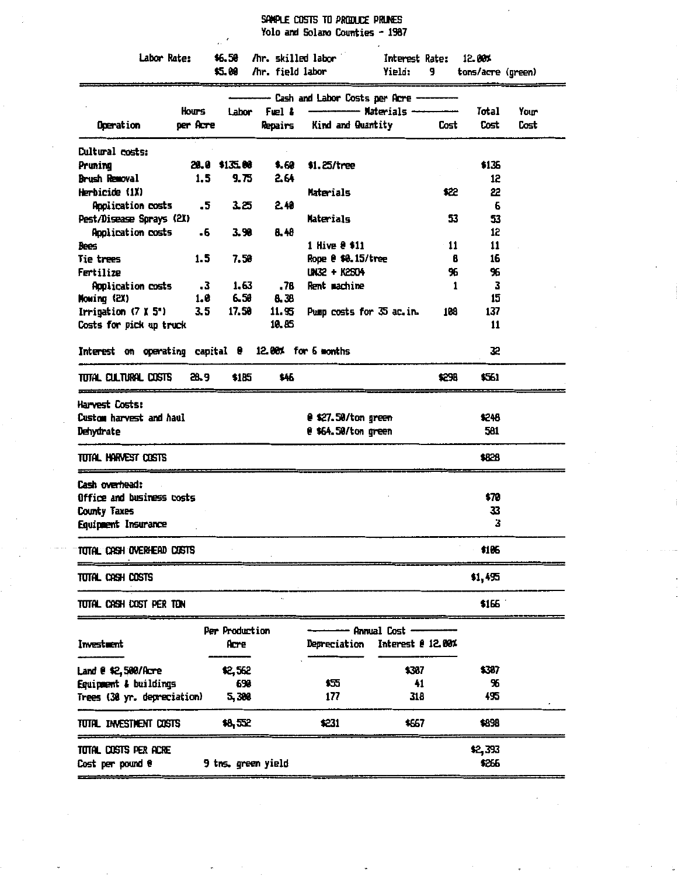SPAPLE COSTS TO PRODUCE PRUNES Yolo and Solano Counties - 1987

| Labor Rate:                                         | \$6.50<br>\$5.00 | /hr. skilled labor<br>/hr. field labor |                                    | Interest Rate:<br>9<br>Yield:     |       | 12.00%<br>tons/acre (green) |      |
|-----------------------------------------------------|------------------|----------------------------------------|------------------------------------|-----------------------------------|-------|-----------------------------|------|
|                                                     |                  |                                        | - Cash and Labor Costs per Acre -- |                                   |       |                             |      |
| Hours                                               | Labor            | Fuel &                                 |                                    | --------- Materials ------------- |       | Total                       | Your |
| Operation<br>per Acre                               |                  | Repairs                                | Kind and Quantity                  |                                   | Cost  | Cost                        | Cost |
| <b>Cultural costs:</b>                              |                  |                                        |                                    |                                   |       |                             |      |
| Pruning                                             | 20.0 \$135.00    | \$,60                                  | \$1.25/tree                        |                                   |       | \$1.35                      |      |
| Brush Removal                                       | 1.5<br>9.75      | 2.64                                   |                                    |                                   |       | 12 <sub>2</sub>             |      |
| Herbicide (1X)                                      |                  |                                        | Materials                          |                                   | \$22  | 22                          |      |
| Application costs                                   | .5<br>3.25       | 2.40                                   |                                    |                                   |       | 6                           |      |
| Pest/Disease Sprays (2X)                            |                  |                                        | Materials                          |                                   | 53    | 53                          |      |
| Application costs                                   | 3.98<br>.6       | 8. 48                                  |                                    |                                   |       | 12                          |      |
| Bees                                                |                  |                                        | 1 Hive @ \$11                      |                                   | 11    | 11                          |      |
| Tie trees                                           | 1.5<br>7.58      |                                        | Rope @ \$0.15/tree                 |                                   | B     | 16                          |      |
| Fertilize                                           |                  |                                        | UN32 + K2504                       |                                   | 96    | 96                          |      |
| <b>Application costs</b>                            | .3<br>1.63       | . 7B                                   | Rent machine                       |                                   | 1     | 3                           |      |
| Mowing (2X)                                         | 1.0<br>6.50      | 8.38                                   |                                    |                                   |       | 15                          |      |
| Irrigation $(7 \times 5)$                           | 3.5<br>17.50     | 11.95                                  | Pump costs for 35 ac.in.           |                                   | 108   | 137                         |      |
| Costs for pick up truck                             |                  | 10.85                                  |                                    |                                   |       | 11                          |      |
| Interest on operating capital 0 12.00% for 6 months |                  |                                        |                                    |                                   |       | 32                          |      |
| TUTAL CULTURAL COSTS                                | 28.9<br>\$185    | \$46                                   |                                    |                                   | \$298 | \$561                       |      |
| Harvest Costs:                                      |                  |                                        |                                    |                                   |       |                             |      |
| Custom harvest and haul                             |                  |                                        | @ \$27.50/ton green                |                                   |       | \$248                       |      |
| Dehydrate                                           |                  |                                        | @ \$64.50/ton green                |                                   |       | 581                         |      |
| TUTAL HARVEST COSTS                                 |                  |                                        |                                    |                                   |       | \$828                       |      |
| Cash overhead:                                      |                  |                                        |                                    |                                   |       |                             |      |
| Office and business costs                           |                  |                                        |                                    |                                   |       | \$70                        |      |
| County Taxes                                        |                  |                                        |                                    |                                   |       | 33                          |      |
| Equipment Insurance                                 |                  |                                        |                                    |                                   |       | 3                           |      |
| total Cash overhead costs                           |                  |                                        |                                    |                                   |       | \$106                       |      |
| TUTAL CASH COSTS                                    |                  |                                        |                                    |                                   |       | \$1,455                     |      |
| TUTAL CASH COST PER TON                             |                  |                                        |                                    |                                   |       | \$166                       |      |
|                                                     | Per Production   |                                        |                                    | - Annual Cost --                  |       |                             |      |
| Investment                                          | Acre             |                                        | Depreciation                       | Interest @ 12.00%                 |       |                             |      |
| Land @ \$2,500/Acre                                 | \$2,562          |                                        |                                    | \$307                             |       | \$307                       |      |
| Equipment & buildings                               | 698              |                                        | 耘                                  | 41                                |       | 96                          |      |
| Trees (30 yr. depreciation)                         | 5,380            |                                        | 177                                | 318                               |       | 495                         |      |
|                                                     | \$8,552          |                                        | \$231                              | \$667                             |       | \$898                       |      |
|                                                     |                  |                                        |                                    |                                   |       |                             |      |
| TUTAL INVESTMENT CUSTS<br>Total costs per acre      |                  |                                        |                                    |                                   |       | \$2,393                     |      |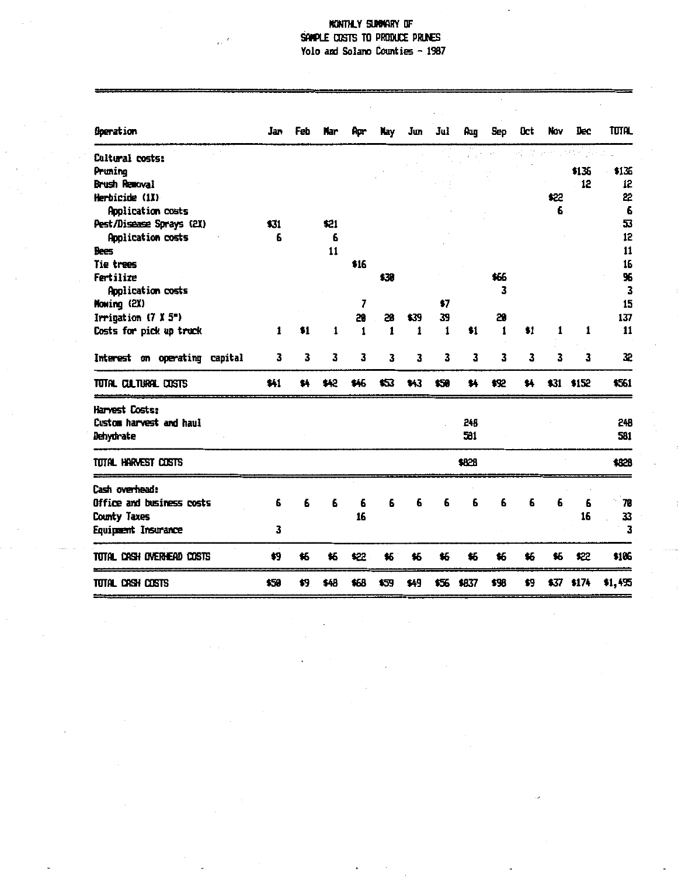# NONTHLY SUMMARY OF SAMPLE COSTS TO PRODUCE PRINES Yolo and Solano Counties - 1987

| <b>Operation</b>              | Jan  | Feb | Nar  | Apr  | Nay  | Jun  | Jul  | Aug   | Sep  | <b>Oct</b> | Nov  | Dec        | tutal   |
|-------------------------------|------|-----|------|------|------|------|------|-------|------|------------|------|------------|---------|
| Cultural costs:               |      |     |      |      |      |      |      |       |      |            |      |            |         |
| Pruning                       |      |     |      |      |      |      |      |       |      |            |      | \$135      | \$136   |
| Brush Removal                 |      |     |      |      |      |      |      |       |      |            |      | 12         | 12      |
| Herbicide (1X)                |      |     |      |      |      |      |      |       |      |            | \$22 |            | 22      |
| Application costs             |      |     |      |      |      |      |      |       |      |            | 6    |            | 6       |
| Pest/Disease Sprays (2X)      | \$31 |     | \$21 |      |      |      |      |       |      |            |      |            | 53      |
| Application costs             | 6    |     | 6    |      |      |      |      |       |      |            |      |            | 12      |
| Bees                          |      |     | 11   |      |      |      |      |       |      |            |      |            | 11      |
| Tie trees                     |      |     |      | \$16 |      |      |      |       |      |            |      |            | 16      |
| Fertilize                     |      |     |      |      | \$30 |      |      |       | \$66 |            |      |            | 96      |
| Application costs             |      |     |      |      |      |      |      |       | 3    |            |      |            | 3       |
| Mowing (2X)                   |      |     |      | 7    |      |      | \$7  |       |      |            |      |            | 15      |
| Irrigation $(7 \times 5^m)$   |      |     |      | 20   | 28   | \$39 | 39   |       | 29   |            |      |            | 137     |
| Costs for pick up truck       | 1    | \$1 | 1    | 1    | 1    | 1    | 1    | \$1   | 1    | \$1        | 1    | 1          | 11      |
| Interest on operating capital | 3    | 3   | 3    | 3    | 3    | 3    | 3    | 3     | 3    | 3          | 3    | 3          | 32      |
| TOTAL CULTURAL COSTS          | \$41 | \$4 | \$42 | \$46 | 怀    | \$43 | \$50 | \$4   | \$92 | \$4        |      | \$31 \$152 | \$561   |
| Harvest Costs:                |      |     |      |      |      |      |      |       |      |            |      |            |         |
| Custom harvest and haul       |      |     |      |      |      |      |      | 248   |      |            |      |            | 248     |
| Dehydrate                     |      |     |      |      |      |      |      | 581   |      |            |      |            | 591     |
| TUTAL HARVEST COSTS           |      |     |      |      |      |      |      | \$828 |      |            |      |            | \$828   |
| Cash overhead:                |      |     |      |      |      |      |      |       |      |            |      |            |         |
| Office and business costs     | 6    | 6   | 6    | 6    | 6    | 6    | 6    | 6     | 6    | 6          | 6    | 6          | 78      |
| County Taxes                  |      |     |      | 16   |      |      |      |       |      |            |      | 16         | 33      |
| Equipment Insurance           | 3    |     |      |      |      |      |      |       |      |            |      |            | 3       |
| total CASH overhead costs     | \$9  | \$6 | \$6  | \$22 | \$6  | \$6  | \$6  | \$6   | \$6  | \$6        | \$6  | \$22       | \$106   |
| TOTAL CASH COSTS              | \$50 | \$9 | \$48 | \$68 | \$39 | \$49 | \$56 | \$837 | \$98 | \$9        | \$37 | \$174      | \$1,495 |